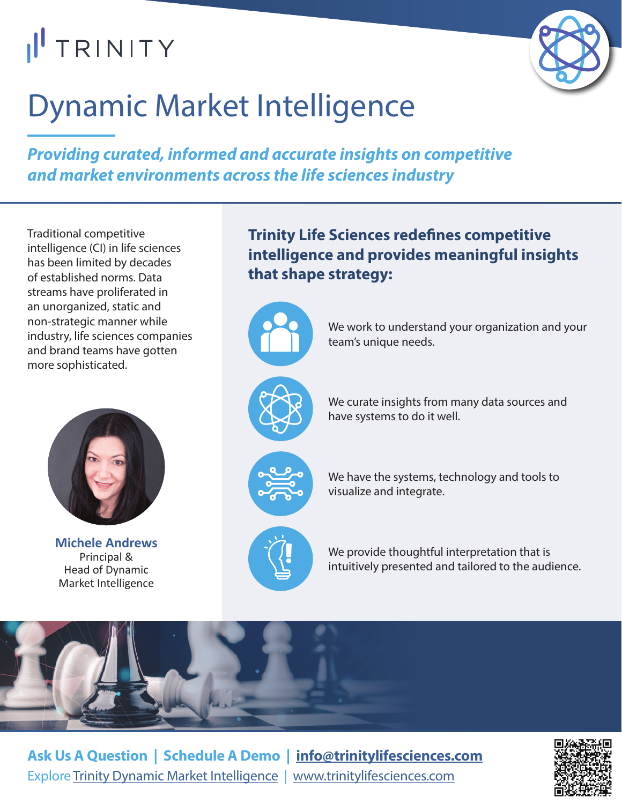# I<sup>I</sup> TRINITY



## Dynamic Market Intelligence

*Providing curated, informed and accurate insights on competitive and market environments across the life sciences industry*

Traditional competitive intelligence (CI) in life sciences has been limited by decades of established norms. Data streams have proliferated in an unorganized, static and non‑strategic manner while industry, life sciences companies and brand teams have gotten more sophisticated.



**Michele Andrews** Principal & Head of Dynamic Market Intelligence

**Trinity Life Sciences redefines competitive intelligence and provides meaningful insights that shape strategy:**

> We work to understand your organization and your team's unique needs.



We curate insights from many data sources and have systems to do it well.



We have the systems, technology and tools to visualize and integrate.



We provide thoughtful interpretation that is intuitively presented and tailored to the audience.